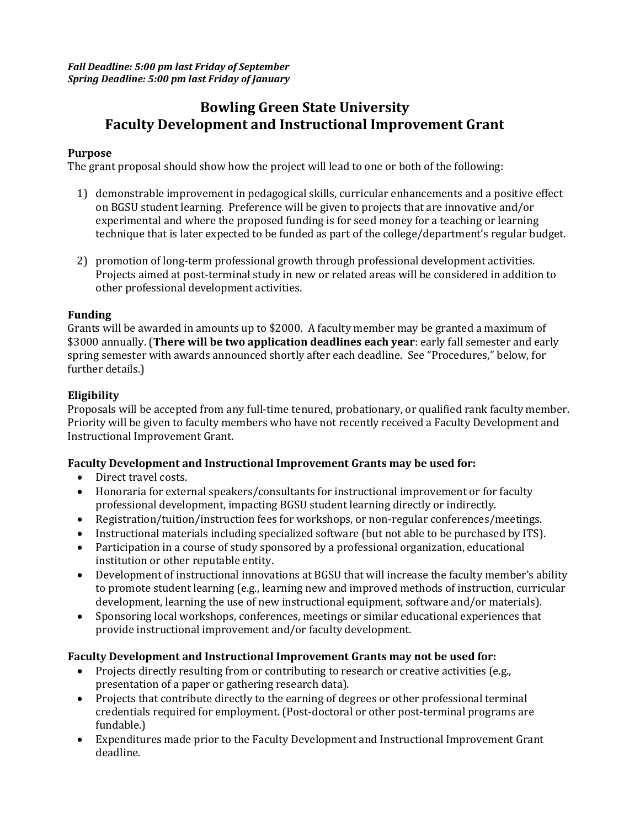*Fall Deadline: 5:00 pm last Friday of September Spring Deadline: 5:00 pm last Friday of January*

# **Bowling Green State University Faculty Development and Instructional Improvement Grant**

## **Purpose**

The grant proposal should show how the project will lead to one or both of the following:

- 1) demonstrable improvement in pedagogical skills, curricular enhancements and a positive effect on BGSU student learning. Preference will be given to projects that are innovative and/or experimental and where the proposed funding is for seed money for a teaching or learning technique that is later expected to be funded as part of the college/department's regular budget.
- 2) promotion of long-term professional growth through professional development activities. Projects aimed at post-terminal study in new or related areas will be considered in addition to other professional development activities.

#### **Funding**

Grants will be awarded in amounts up to \$2000. A faculty member may be granted a maximum of \$3000 annually. (**There will be two application deadlines each year**: early fall semester and early spring semester with awards announced shortly after each deadline. See "Procedures," below, for further details.)

#### **Eligibility**

Proposals will be accepted from any full-time tenured, probationary, or qualified rank faculty member. Priority will be given to faculty members who have not recently received a Faculty Development and Instructional Improvement Grant.

#### **Faculty Development and Instructional Improvement Grants may be used for:**

- Direct travel costs.
- Honoraria for external speakers/consultants for instructional improvement or for faculty professional development, impacting BGSU student learning directly or indirectly.
- Registration/tuition/instruction fees for workshops, or non-regular conferences/meetings.
- Instructional materials including specialized software (but not able to be purchased by ITS).
- Participation in a course of study sponsored by a professional organization, educational institution or other reputable entity.
- Development of instructional innovations at BGSU that will increase the faculty member's ability to promote student learning (e.g., learning new and improved methods of instruction, curricular development, learning the use of new instructional equipment, software and/or materials).
- Sponsoring local workshops, conferences, meetings or similar educational experiences that provide instructional improvement and/or faculty development.

# **Faculty Development and Instructional Improvement Grants may not be used for:**

- Projects directly resulting from or contributing to research or creative activities (e.g., presentation of a paper or gathering research data).
- Projects that contribute directly to the earning of degrees or other professional terminal credentials required for employment. (Post-doctoral or other post-terminal programs are fundable.)
- Expenditures made prior to the Faculty Development and Instructional Improvement Grant deadline.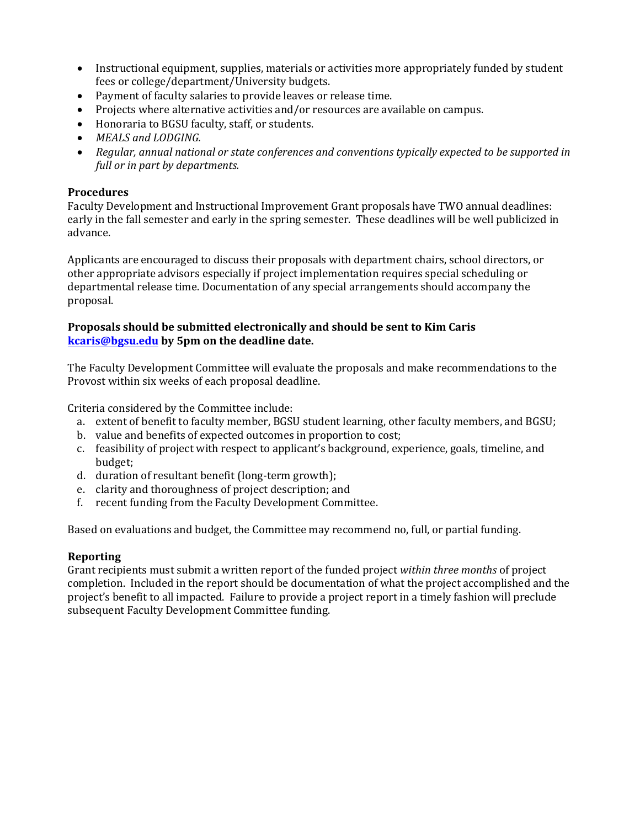- Instructional equipment, supplies, materials or activities more appropriately funded by student fees or college/department/University budgets.
- Payment of faculty salaries to provide leaves or release time.
- Projects where alternative activities and/or resources are available on campus.
- Honoraria to BGSU faculty, staff, or students.
- *MEALS and LODGING.*
- *Regular, annual national or state conferences and conventions typically expected to be supported in full or in part by departments.*

## **Procedures**

Faculty Development and Instructional Improvement Grant proposals have TWO annual deadlines: early in the fall semester and early in the spring semester. These deadlines will be well publicized in advance.

Applicants are encouraged to discuss their proposals with department chairs, school directors, or other appropriate advisors especially if project implementation requires special scheduling or departmental release time. Documentation of any special arrangements should accompany the proposal.

## **Proposals should be submitted electronically and should be sent to Kim Caris kcaris[@bgsu.edu](mailto:lmeyer@bgsu.edu) by 5pm on the deadline date.**

The Faculty Development Committee will evaluate the proposals and make recommendations to the Provost within six weeks of each proposal deadline.

Criteria considered by the Committee include:

- a. extent of benefit to faculty member, BGSU student learning, other faculty members, and BGSU;
- b. value and benefits of expected outcomes in proportion to cost;
- c. feasibility of project with respect to applicant's background, experience, goals, timeline, and budget;
- d. duration of resultant benefit (long-term growth);
- e. clarity and thoroughness of project description; and
- f. recent funding from the Faculty Development Committee.

Based on evaluations and budget, the Committee may recommend no, full, or partial funding.

# **Reporting**

Grant recipients must submit a written report of the funded project *within three months* of project completion. Included in the report should be documentation of what the project accomplished and the project's benefit to all impacted. Failure to provide a project report in a timely fashion will preclude subsequent Faculty Development Committee funding.